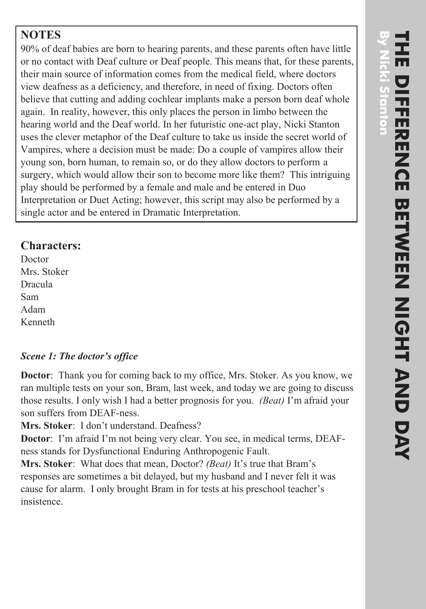# **NOTES**

90% of deaf babies are born to hearing parents, and these parents often have little or no contact with Deaf culture or Deaf people. This means that, for these parents, their main source of information comes from the medical field, where doctors view deafness as a deficiency, and therefore, in need of fixing. Doctors often believe that cutting and adding cochlear implants make a person born deaf whole again. In reality, however, this only places the person in limbo between the hearing world and the Deaf world. In her futuristic one-act play, Nicki Stanton uses the clever metaphor of the Deaf culture to take us inside the secret world of Vampires, where a decision must be made: Do a couple of vampires allow their young son, born human, to remain so, or do they allow doctors to perform a surgery, which would allow their son to become more like them? This intriguing play should be performed by a female and male and be entered in Duo Interpretation or Duet Acting; however, this script may also be performed by a single actor and be entered in Dramatic Interpretation.

# **Characters:**

Doctor Mrs. Stoker Dracula Sam Adam Kenneth

#### *Scene 1: The doctor's office*

**Doctor**: Thank you for coming back to my office, Mrs. Stoker. As you know, we ran multiple tests on your son, Bram, last week, and today we are going to discuss those results. I only wish I had a better prognosis for you. *(Beat)* I'm afraid your son suffers from DEAF-ness.

**Mrs. Stoker**: I don't understand. Deafness?

**Doctor**: I'm afraid I'm not being very clear. You see, in medical terms, DEAFness stands for Dysfunctional Enduring Anthropogenic Fault.

**Mrs. Stoker**: What does that mean, Doctor? *(Beat)* It's true that Bram's responses are sometimes a bit delayed, but my husband and I never felt it was cause for alarm. I only brought Bram in for tests at his preschool teacher's insistence.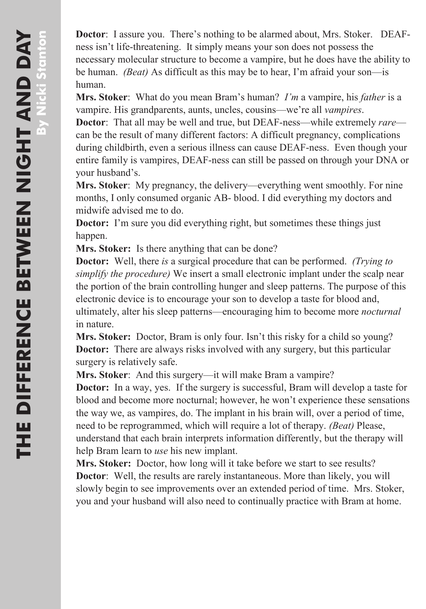**Doctor**: I assure you. There's nothing to be alarmed about, Mrs. Stoker. DEAFness isn't life-threatening. It simply means your son does not possess the necessary molecular structure to become a vampire, but he does have the ability to be human. *(Beat)* As difficult as this may be to hear, I'm afraid your son—is human.

**Mrs. Stoker**: What do you mean Bram's human? *I'm* a vampire, his *father* is a vampire. His grandparents, aunts, uncles, cousins—we're all *vampires*.

**Doctor**: That all may be well and true, but DEAF-ness—while extremely *rare* can be the result of many different factors: A difficult pregnancy, complications during childbirth, even a serious illness can cause DEAF-ness. Even though your entire family is vampires, DEAF-ness can still be passed on through your DNA or your husband's.

**Mrs. Stoker**: My pregnancy, the delivery—everything went smoothly. For nine months, I only consumed organic AB- blood. I did everything my doctors and midwife advised me to do.

**Doctor:** I'm sure you did everything right, but sometimes these things just happen.

**Mrs. Stoker:** Is there anything that can be done?

**Doctor:** Well, there *is* a surgical procedure that can be performed. *(Trying to simplify the procedure)* We insert a small electronic implant under the scalp near the portion of the brain controlling hunger and sleep patterns. The purpose of this electronic device is to encourage your son to develop a taste for blood and, ultimately, alter his sleep patterns—encouraging him to become more *nocturnal* in nature.

**Mrs. Stoker:** Doctor, Bram is only four. Isn't this risky for a child so young? **Doctor:** There are always risks involved with any surgery, but this particular surgery is relatively safe.

**Mrs. Stoker**: And this surgery—it will make Bram a vampire?

**Doctor:** In a way, yes. If the surgery is successful, Bram will develop a taste for blood and become more nocturnal; however, he won't experience these sensations the way we, as vampires, do. The implant in his brain will, over a period of time, need to be reprogrammed, which will require a lot of therapy. *(Beat)* Please, understand that each brain interprets information differently, but the therapy will help Bram learn to *use* his new implant.

**Mrs. Stoker:** Doctor, how long will it take before we start to see results? **Doctor:** Well, the results are rarely instantaneous. More than likely, you will slowly begin to see improvements over an extended period of time. Mrs. Stoker, you and your husband will also need to continually practice with Bram at home.